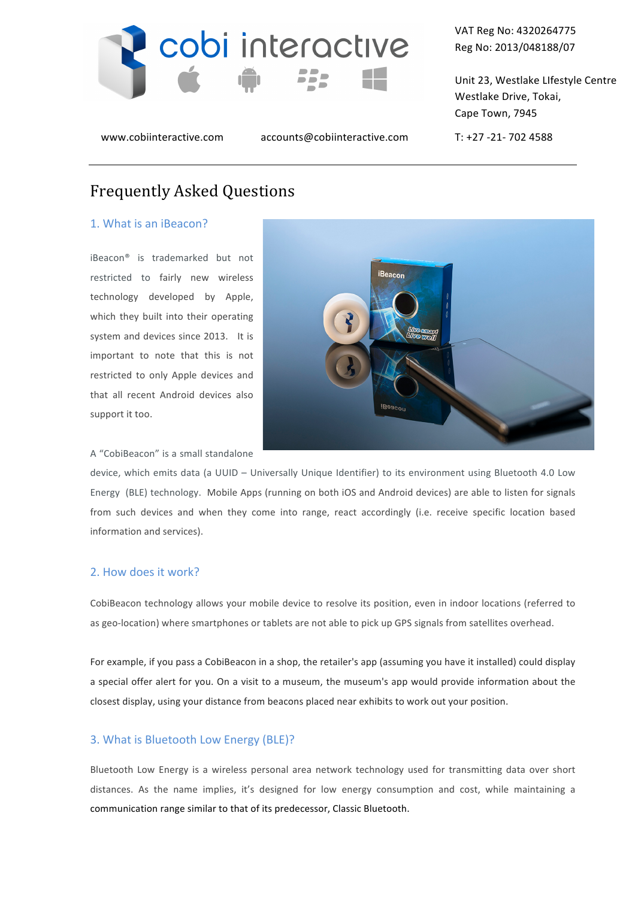

www.cobiinteractive.com accounts@cobiinteractive.com T: +27 -21- 702 4588

VAT Reg No: 4320264775 Reg No: 2013/048188/07

Unit 23, Westlake LIfestyle Centre Westlake Drive, Tokai, Cape Town, 7945

# Frequently Asked Questions

#### 1. What is an iBeacon?

iBeacon<sup>®</sup> is trademarked but not restricted to fairly new wireless technology developed by Apple, which they built into their operating system and devices since 2013. It is important to note that this is not restricted to only Apple devices and that all recent Android devices also support it too.

iBeacon

A "CobiBeacon" is a small standalone

device, which emits data (a UUID – Universally Unique Identifier) to its environment using Bluetooth 4.0 Low Energy (BLE) technology. Mobile Apps (running on both iOS and Android devices) are able to listen for signals from such devices and when they come into range, react accordingly (i.e. receive specific location based information and services).

## 2. How does it work?

CobiBeacon technology allows your mobile device to resolve its position, even in indoor locations (referred to as geo-location) where smartphones or tablets are not able to pick up GPS signals from satellites overhead.

For example, if you pass a CobiBeacon in a shop, the retailer's app (assuming you have it installed) could display a special offer alert for you. On a visit to a museum, the museum's app would provide information about the closest display, using your distance from beacons placed near exhibits to work out your position.

#### 3. What is Bluetooth Low Energy (BLE)?

Bluetooth Low Energy is a wireless personal area network technology used for transmitting data over short distances. As the name implies, it's designed for low energy consumption and cost, while maintaining a communication range similar to that of its predecessor, Classic Bluetooth.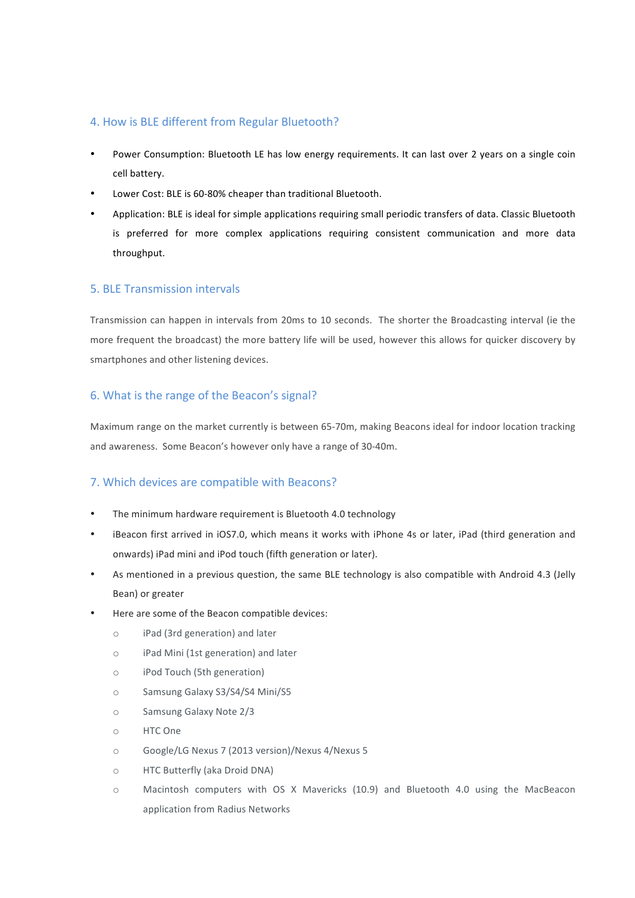## 4. How is BLE different from Regular Bluetooth?

- Power Consumption: Bluetooth LE has low energy requirements. It can last over 2 years on a single coin cell battery.
- Lower Cost: BLE is 60-80% cheaper than traditional Bluetooth.
- Application: BLE is ideal for simple applications requiring small periodic transfers of data. Classic Bluetooth is preferred for more complex applications requiring consistent communication and more data throughput.

## 5. BLE Transmission intervals

Transmission can happen in intervals from 20ms to 10 seconds. The shorter the Broadcasting interval (ie the more frequent the broadcast) the more battery life will be used, however this allows for quicker discovery by smartphones and other listening devices.

# 6. What is the range of the Beacon's signal?

Maximum range on the market currently is between 65-70m, making Beacons ideal for indoor location tracking and awareness. Some Beacon's however only have a range of 30-40m.

# 7. Which devices are compatible with Beacons?

- The minimum hardware requirement is Bluetooth 4.0 technology
- iBeacon first arrived in iOS7.0, which means it works with iPhone 4s or later, iPad (third generation and onwards) iPad mini and iPod touch (fifth generation or later).
- As mentioned in a previous question, the same BLE technology is also compatible with Android 4.3 (Jelly Bean) or greater
- Here are some of the Beacon compatible devices:
	- o iPad (3rd generation) and later
	- o iPad Mini (1st generation) and later
	- o iPod Touch (5th generation)
	- o Samsung Galaxy S3/S4/S4 Mini/S5
	- o Samsung Galaxy Note 2/3
	- o HTC One
	- o Google/LG Nexus 7 (2013 version)/Nexus 4/Nexus 5
	- o HTC Butterfly (aka Droid DNA)
	- $\circ$  Macintosh computers with OS X Mavericks (10.9) and Bluetooth 4.0 using the MacBeacon application from Radius Networks